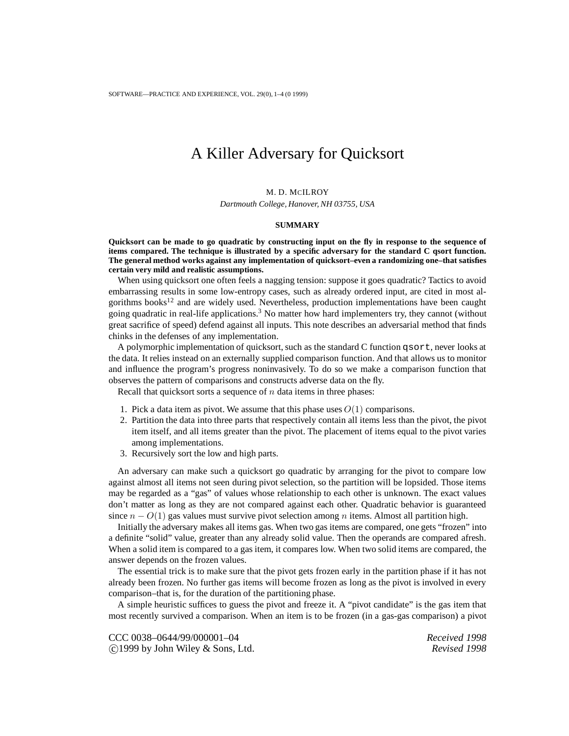## A Killer Adversary for Quicksort

M. D. MCILROY *Dartmouth College, Hanover, NH 03755, USA*

## **SUMMARY**

**Quicksort can be made to go quadratic by constructing input on the fly in response to the sequence of items compared. The technique is illustrated by a specific adversary for the standard C qsort function. The general method works against any implementation of quicksort–even a randomizing one–that satisfies certain very mild and realistic assumptions.**

When using quicksort one often feels a nagging tension: suppose it goes quadratic? Tactics to avoid embarrassing results in some low-entropy cases, such as already ordered input, are cited in most algorithms books<sup>12</sup> and are widely used. Nevertheless, production implementations have been caught going quadratic in real-life applications.<sup>3</sup> No matter how hard implementers try, they cannot (without great sacrifice of speed) defend against all inputs. This note describes an adversarial method that finds chinks in the defenses of any implementation.

A polymorphic implementation of quicksort, such as the standard C function qsort, never looks at the data. It relies instead on an externally supplied comparison function. And that allows us to monitor and influence the program's progress noninvasively. To do so we make a comparison function that observes the pattern of comparisons and constructs adverse data on the fly.

Recall that quicksort sorts a sequence of  $n$  data items in three phases:

- 1. Pick a data item as pivot. We assume that this phase uses  $O(1)$  comparisons.
- 2. Partition the data into three parts that respectively contain all items less than the pivot, the pivot item itself, and all items greater than the pivot. The placement of items equal to the pivot varies among implementations.
- 3. Recursively sort the low and high parts.

An adversary can make such a quicksort go quadratic by arranging for the pivot to compare low against almost all items not seen during pivot selection, so the partition will be lopsided. Those items may be regarded as a "gas" of values whose relationship to each other is unknown. The exact values don't matter as long as they are not compared against each other. Quadratic behavior is guaranteed since  $n - O(1)$  gas values must survive pivot selection among n items. Almost all partition high.

Initially the adversary makes all items gas. When two gas items are compared, one gets "frozen" into a definite "solid" value, greater than any already solid value. Then the operands are compared afresh. When a solid item is compared to a gas item, it compares low. When two solid items are compared, the answer depends on the frozen values.

The essential trick is to make sure that the pivot gets frozen early in the partition phase if it has not already been frozen. No further gas items will become frozen as long as the pivot is involved in every comparison–that is, for the duration of the partitioning phase.

A simple heuristic suffices to guess the pivot and freeze it. A "pivot candidate" is the gas item that most recently survived a comparison. When an item is to be frozen (in a gas-gas comparison) a pivot

CCC 0038–0644/99/000001–04 *Received 1998*  $\bigcirc$  1999 by John Wiley & Sons, Ltd.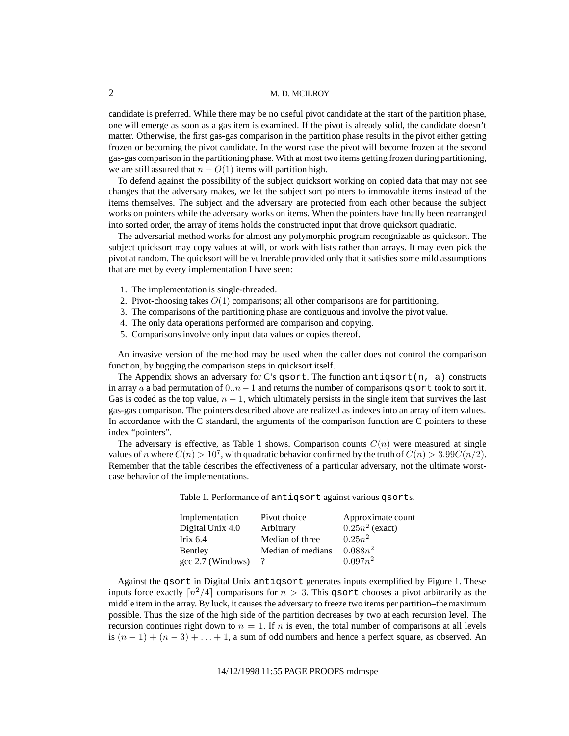## 2 M. D. MCILROY

candidate is preferred. While there may be no useful pivot candidate at the start of the partition phase, one will emerge as soon as a gas item is examined. If the pivot is already solid, the candidate doesn't matter. Otherwise, the first gas-gas comparison in the partition phase results in the pivot either getting frozen or becoming the pivot candidate. In the worst case the pivot will become frozen at the second gas-gas comparison in the partitioning phase. With at most two items getting frozen during partitioning, we are still assured that  $n - O(1)$  items will partition high.

To defend against the possibility of the subject quicksort working on copied data that may not see changes that the adversary makes, we let the subject sort pointers to immovable items instead of the items themselves. The subject and the adversary are protected from each other because the subject works on pointers while the adversary works on items. When the pointers have finally been rearranged into sorted order, the array of items holds the constructed input that drove quicksort quadratic.

The adversarial method works for almost any polymorphic program recognizable as quicksort. The subject quicksort may copy values at will, or work with lists rather than arrays. It may even pick the pivot at random. The quicksort will be vulnerable provided only that it satisfies some mild assumptions that are met by every implementation I have seen:

- 1. The implementation is single-threaded.
- 2. Pivot-choosing takes  $O(1)$  comparisons; all other comparisons are for partitioning.
- 3. The comparisons of the partitioning phase are contiguous and involve the pivot value.
- 4. The only data operations performed are comparison and copying.
- 5. Comparisons involve only input data values or copies thereof.

An invasive version of the method may be used when the caller does not control the comparison function, by bugging the comparison steps in quicksort itself.

The Appendix shows an adversary for C's qsort. The function antiqsort(n, a) constructs in array a a bad permutation of  $0..n-1$  and returns the number of comparisons qsort took to sort it. Gas is coded as the top value,  $n - 1$ , which ultimately persists in the single item that survives the last gas-gas comparison. The pointers described above are realized as indexes into an array of item values. In accordance with the C standard, the arguments of the comparison function are C pointers to these index "pointers".

The adversary is effective, as Table 1 shows. Comparison counts  $C(n)$  were measured at single values of n where  $C(n) > 10^7$ , with quadratic behavior confirmed by the truth of  $C(n) > 3.99C(n/2)$ . Remember that the table describes the effectiveness of a particular adversary, not the ultimate worstcase behavior of the implementations.

Table 1. Performance of antiqsort against various qsorts.

| Implementation    | Pivot choice      | Approximate count |
|-------------------|-------------------|-------------------|
| Digital Unix 4.0  | Arbitrary         | $0.25n^2$ (exact) |
| Irix $6.4$        | Median of three   | $0.25n^2$         |
| Bentley           | Median of medians | $0.088n^2$        |
| gcc 2.7 (Windows) | $\gamma$          | $0.097n^2$        |

Against the qsort in Digital Unix antiqsort generates inputs exemplified by Figure 1. These inputs force exactly  $\lceil n^2/4 \rceil$  comparisons for  $n > 3$ . This qsort chooses a pivot arbitrarily as the middle item in the array. By luck, it causes the adversary to freeze two items per partition–themaximum possible. Thus the size of the high side of the partition decreases by two at each recursion level. The recursion continues right down to  $n = 1$ . If n is even, the total number of comparisons at all levels is  $(n - 1) + (n - 3) + ... + 1$ , a sum of odd numbers and hence a perfect square, as observed. An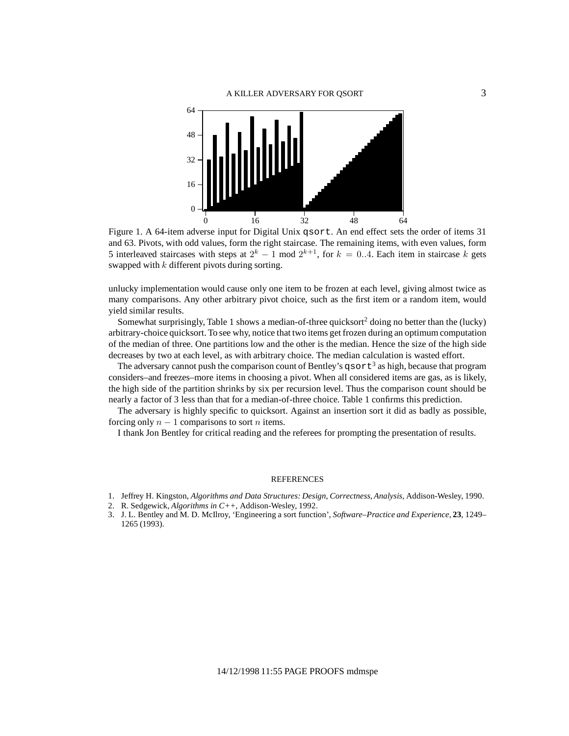

Figure 1. A 64-item adverse input for Digital Unix qsort. An end effect sets the order of items 31 and 63. Pivots, with odd values, form the right staircase. The remaining items, with even values, form 5 interleaved staircases with steps at  $2^k - 1 \mod 2^{k+1}$ , for  $k = 0.4$ . Each item in staircase k gets swapped with k different pivots during sorting.

unlucky implementation would cause only one item to be frozen at each level, giving almost twice as many comparisons. Any other arbitrary pivot choice, such as the first item or a random item, would yield similar results.

Somewhat surprisingly, Table 1 shows a median-of-three quicksort<sup>2</sup> doing no better than the (lucky) arbitrary-choice quicksort. To see why, notice that two items get frozen during an optimum computation of the median of three. One partitions low and the other is the median. Hence the size of the high side decreases by two at each level, as with arbitrary choice. The median calculation is wasted effort.

The adversary cannot push the comparison count of Bentley's  $q\text{sort}^3$  as high, because that program considers–and freezes–more items in choosing a pivot. When all considered items are gas, as is likely, the high side of the partition shrinks by six per recursion level. Thus the comparison count should be nearly a factor of 3 less than that for a median-of-three choice. Table 1 confirms this prediction.

The adversary is highly specific to quicksort. Against an insertion sort it did as badly as possible, forcing only  $n - 1$  comparisons to sort *n* items.

I thank Jon Bentley for critical reading and the referees for prompting the presentation of results.

## **REFERENCES**

- 1. Jeffrey H. Kingston, *Algorithms and Data Structures: Design, Correctness, Analysis*, Addison-Wesley, 1990.
- 2. R. Sedgewick, *Algorithms in C++*, Addison-Wesley, 1992.
- 3. J. L. Bentley and M. D. McIlroy, 'Engineering a sort function', *Software–Practice and Experience*, **23**, 1249– 1265 (1993).